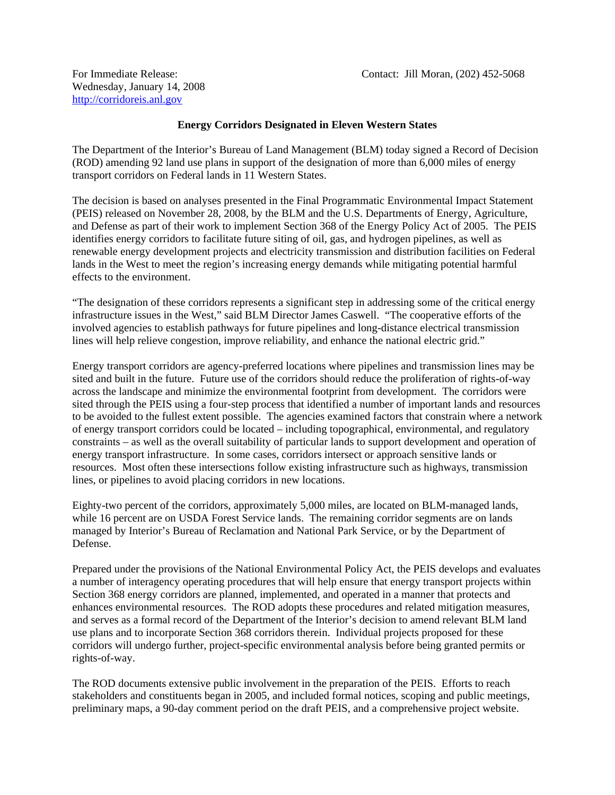Wednesday, January 14, 2008 http://corridoreis.anl.gov

## **Energy Corridors Designated in Eleven Western States**

The Department of the Interior's Bureau of Land Management (BLM) today signed a Record of Decision (ROD) amending 92 land use plans in support of the designation of more than 6,000 miles of energy transport corridors on Federal lands in 11 Western States.

The decision is based on analyses presented in the Final Programmatic Environmental Impact Statement (PEIS) released on November 28, 2008, by the BLM and the U.S. Departments of Energy, Agriculture, and Defense as part of their work to implement Section 368 of the Energy Policy Act of 2005. The PEIS identifies energy corridors to facilitate future siting of oil, gas, and hydrogen pipelines, as well as renewable energy development projects and electricity transmission and distribution facilities on Federal lands in the West to meet the region's increasing energy demands while mitigating potential harmful effects to the environment.

"The designation of these corridors represents a significant step in addressing some of the critical energy infrastructure issues in the West," said BLM Director James Caswell. "The cooperative efforts of the involved agencies to establish pathways for future pipelines and long-distance electrical transmission lines will help relieve congestion, improve reliability, and enhance the national electric grid."

Energy transport corridors are agency-preferred locations where pipelines and transmission lines may be sited and built in the future. Future use of the corridors should reduce the proliferation of rights-of-way across the landscape and minimize the environmental footprint from development. The corridors were sited through the PEIS using a four-step process that identified a number of important lands and resources to be avoided to the fullest extent possible. The agencies examined factors that constrain where a network of energy transport corridors could be located – including topographical, environmental, and regulatory constraints – as well as the overall suitability of particular lands to support development and operation of energy transport infrastructure. In some cases, corridors intersect or approach sensitive lands or resources. Most often these intersections follow existing infrastructure such as highways, transmission lines, or pipelines to avoid placing corridors in new locations.

Eighty-two percent of the corridors, approximately 5,000 miles, are located on BLM-managed lands, while 16 percent are on USDA Forest Service lands. The remaining corridor segments are on lands managed by Interior's Bureau of Reclamation and National Park Service, or by the Department of Defense.

Prepared under the provisions of the National Environmental Policy Act, the PEIS develops and evaluates a number of interagency operating procedures that will help ensure that energy transport projects within Section 368 energy corridors are planned, implemented, and operated in a manner that protects and enhances environmental resources. The ROD adopts these procedures and related mitigation measures, and serves as a formal record of the Department of the Interior's decision to amend relevant BLM land use plans and to incorporate Section 368 corridors therein. Individual projects proposed for these corridors will undergo further, project-specific environmental analysis before being granted permits or rights-of-way.

The ROD documents extensive public involvement in the preparation of the PEIS. Efforts to reach stakeholders and constituents began in 2005, and included formal notices, scoping and public meetings, preliminary maps, a 90-day comment period on the draft PEIS, and a comprehensive project website.